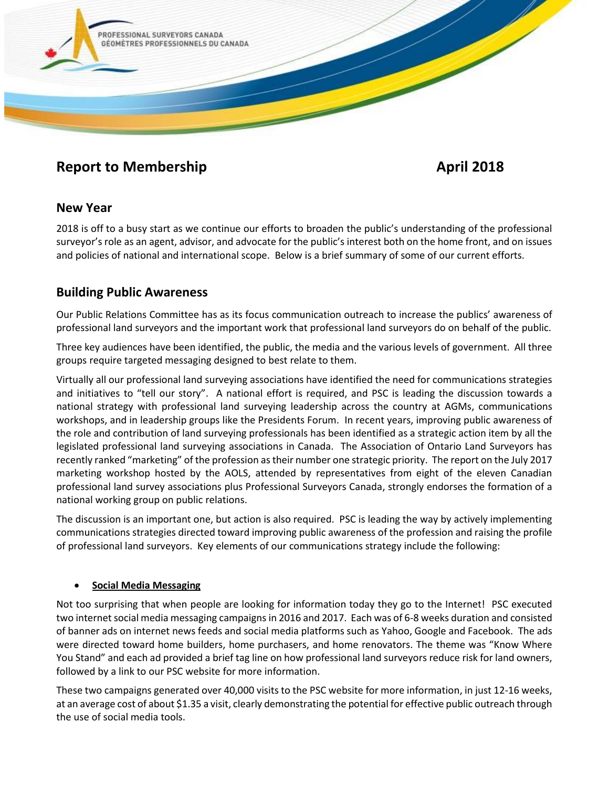

# **Report to Membership April 2018**

## **New Year**

2018 is off to a busy start as we continue our efforts to broaden the public's understanding of the professional surveyor's role as an agent, advisor, and advocate for the public's interest both on the home front, and on issues and policies of national and international scope. Below is a brief summary of some of our current efforts.

## **Building Public Awareness**

Our Public Relations Committee has as its focus communication outreach to increase the publics' awareness of professional land surveyors and the important work that professional land surveyors do on behalf of the public.

Three key audiences have been identified, the public, the media and the various levels of government. All three groups require targeted messaging designed to best relate to them.

Virtually all our professional land surveying associations have identified the need for communications strategies and initiatives to "tell our story". A national effort is required, and PSC is leading the discussion towards a national strategy with professional land surveying leadership across the country at AGMs, communications workshops, and in leadership groups like the Presidents Forum. In recent years, improving public awareness of the role and contribution of land surveying professionals has been identified as a strategic action item by all the legislated professional land surveying associations in Canada. The Association of Ontario Land Surveyors has recently ranked "marketing" of the profession as their number one strategic priority. The report on the July 2017 marketing workshop hosted by the AOLS, attended by representatives from eight of the eleven Canadian professional land survey associations plus Professional Surveyors Canada, strongly endorses the formation of a national working group on public relations.

The discussion is an important one, but action is also required. PSC is leading the way by actively implementing communications strategies directed toward improving public awareness of the profession and raising the profile of professional land surveyors. Key elements of our communications strategy include the following:

### • **Social Media Messaging**

Not too surprising that when people are looking for information today they go to the Internet! PSC executed two internet social media messaging campaigns in 2016 and 2017. Each was of 6-8 weeks duration and consisted of banner ads on internet news feeds and social media platforms such as Yahoo, Google and Facebook. The ads were directed toward home builders, home purchasers, and home renovators. The theme was "Know Where You Stand" and each ad provided a brief tag line on how professional land surveyors reduce risk for land owners, followed by a link to our PSC website for more information.

These two campaigns generated over 40,000 visits to the PSC website for more information, in just 12-16 weeks, at an average cost of about \$1.35 a visit, clearly demonstrating the potential for effective public outreach through the use of social media tools.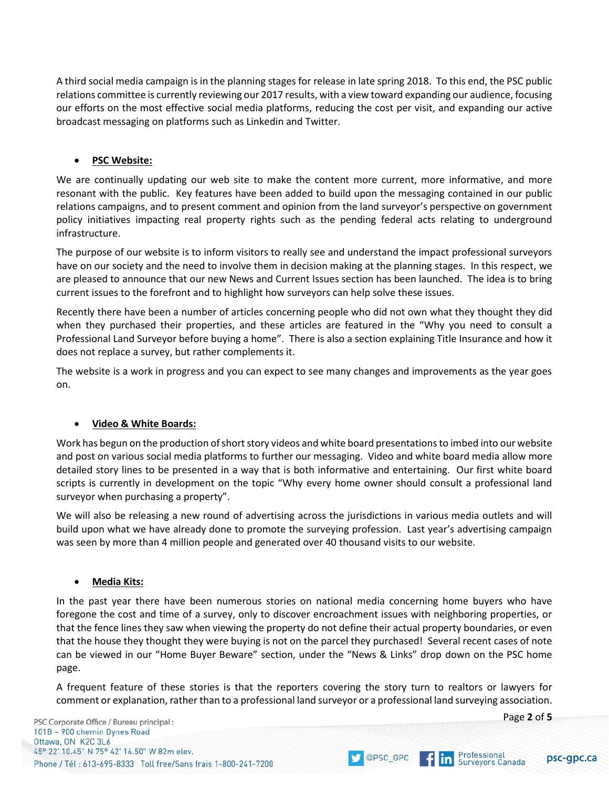A third social media campaign is in the planning stages for release in late spring 2018. To this end, the PSC public relations committee is currently reviewing our 2017 results, with a view toward expanding our audience, focusing our efforts on the most effective social media platforms, reducing the cost per visit, and expanding our active broadcast messaging on platforms such as Linkedin and Twitter.

#### • **PSC Website:**

We are continually updating our web site to make the content more current, more informative, and more resonant with the public. Key features have been added to build upon the messaging contained in our public relations campaigns, and to present comment and opinion from the land surveyor's perspective on government policy initiatives impacting real property rights such as the pending federal acts relating to underground infrastructure.

The purpose of our website is to inform visitors to really see and understand the impact professional surveyors have on our society and the need to involve them in decision making at the planning stages. In this respect, we are pleased to announce that our new News and Current Issues section has been launched. The idea is to bring current issues to the forefront and to highlight how surveyors can help solve these issues.

Recently there have been a number of articles concerning people who did not own what they thought they did when they purchased their properties, and these articles are featured in the "Why you need to consult a Professional Land Surveyor before buying a home". There is also a section explaining Title Insurance and how it does not replace a survey, but rather complements it.

The website is a work in progress and you can expect to see many changes and improvements as the year goes on.

#### • **Video & White Boards:**

Work has begun on the production of short story videos and white board presentations to imbed into our website and post on various social media platforms to further our messaging. Video and white board media allow more detailed story lines to be presented in a way that is both informative and entertaining. Our first white board scripts is currently in development on the topic "Why every home owner should consult a professional land surveyor when purchasing a property".

We will also be releasing a new round of advertising across the jurisdictions in various media outlets and will build upon what we have already done to promote the surveying profession. Last year's advertising campaign was seen by more than 4 million people and generated over 40 thousand visits to our website.

#### • **Media Kits:**

In the past year there have been numerous stories on national media concerning home buyers who have foregone the cost and time of a survey, only to discover encroachment issues with neighboring properties, or that the fence lines they saw when viewing the property do not define their actual property boundaries, or even that the house they thought they were buying is not on the parcel they purchased! Several recent cases of note can be viewed in our "Home Buyer Beware" section, under the "News & Links" drop down on the PSC home page.

A frequent feature of these stories is that the reporters covering the story turn to realtors or lawyers for comment or explanation, rather than to a professional land surveyor or a professional land surveying association.

OPSC\_GPC

Page **2** of **5**

psc-gpc.ca

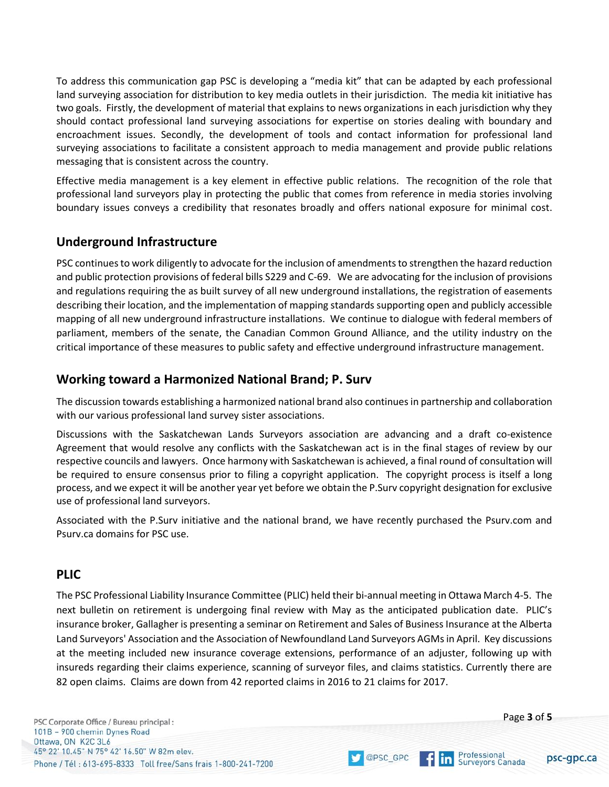To address this communication gap PSC is developing a "media kit" that can be adapted by each professional land surveying association for distribution to key media outlets in their jurisdiction. The media kit initiative has two goals. Firstly, the development of material that explains to news organizations in each jurisdiction why they should contact professional land surveying associations for expertise on stories dealing with boundary and encroachment issues. Secondly, the development of tools and contact information for professional land surveying associations to facilitate a consistent approach to media management and provide public relations messaging that is consistent across the country.

Effective media management is a key element in effective public relations. The recognition of the role that professional land surveyors play in protecting the public that comes from reference in media stories involving boundary issues conveys a credibility that resonates broadly and offers national exposure for minimal cost.

## **Underground Infrastructure**

PSC continues to work diligently to advocate for the inclusion of amendments to strengthen the hazard reduction and public protection provisions of federal bills S229 and C-69. We are advocating for the inclusion of provisions and regulations requiring the as built survey of all new underground installations, the registration of easements describing their location, and the implementation of mapping standards supporting open and publicly accessible mapping of all new underground infrastructure installations. We continue to dialogue with federal members of parliament, members of the senate, the Canadian Common Ground Alliance, and the utility industry on the critical importance of these measures to public safety and effective underground infrastructure management.

## **Working toward a Harmonized National Brand; P. Surv**

The discussion towards establishing a harmonized national brand also continuesin partnership and collaboration with our various professional land survey sister associations.

Discussions with the Saskatchewan Lands Surveyors association are advancing and a draft co-existence Agreement that would resolve any conflicts with the Saskatchewan act is in the final stages of review by our respective councils and lawyers. Once harmony with Saskatchewan is achieved, a final round of consultation will be required to ensure consensus prior to filing a copyright application. The copyright process is itself a long process, and we expect it will be another year yet before we obtain the P.Surv copyright designation for exclusive use of professional land surveyors.

Associated with the P.Surv initiative and the national brand, we have recently purchased the Psurv.com and Psurv.ca domains for PSC use.

## **PLIC**

The PSC Professional Liability Insurance Committee (PLIC) held their bi-annual meeting in Ottawa March 4-5. The next bulletin on retirement is undergoing final review with May as the anticipated publication date. PLIC's insurance broker, Gallagher is presenting a seminar on Retirement and Sales of Business Insurance at the Alberta Land Surveyors' Association and the Association of Newfoundland Land Surveyors AGMs in April. Key discussions at the meeting included new insurance coverage extensions, performance of an adjuster, following up with insureds regarding their claims experience, scanning of surveyor files, and claims statistics. Currently there are 82 open claims. Claims are down from 42 reported claims in 2016 to 21 claims for 2017.

OPSC\_GPC

PSC Corporate Office / Bureau principal : 101B - 900 chemin Dynes Road Ottawa, ON K2C 3L6 45° 22' 10.45" N 75° 42' 16.50" W 82m elev. Phone / Tél: 613-695-8333 Toll free/Sans frais 1-800-241-7200

Professional **In** Surveyors Canada

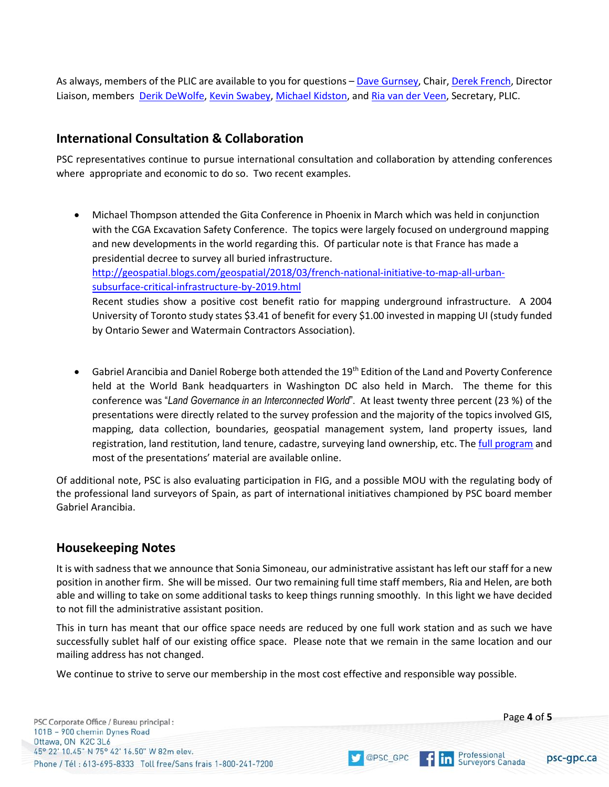As always, members of the PLIC are available to you for questions - [Dave Gurnsey,](mailto:plic@psc-gpc.ca?subject=PLIC) Chair, [Derek French,](mailto:derek@psc-gpc..ca?subject=PLIC) Director Liaison, members [Derik DeWolfe,](mailto:derik@psc-gpc.ca?subject=PLIC) [Kevin Swabey,](mailto:kevin@psc-gpc.ca?subject=PLIC) [Michael Kidston,](mailto:kidston@psc-gpc.ca?subject=PLIC) an[d Ria van der Veen,](mailto:ria@psc-gpc.ca?subject=PLIC) Secretary, PLIC.

## **International Consultation & Collaboration**

PSC representatives continue to pursue international consultation and collaboration by attending conferences where appropriate and economic to do so. Two recent examples.

- Michael Thompson attended the Gita Conference in Phoenix in March which was held in conjunction with the CGA Excavation Safety Conference. The topics were largely focused on underground mapping and new developments in the world regarding this. Of particular note is that France has made a presidential decree to survey all buried infrastructure. [http://geospatial.blogs.com/geospatial/2018/03/french-national-initiative-to-map-all-urban](http://geospatial.blogs.com/geospatial/2018/03/french-national-initiative-to-map-all-urban-subsurface-critical-infrastructure-by-2019.html)[subsurface-critical-infrastructure-by-2019.html](http://geospatial.blogs.com/geospatial/2018/03/french-national-initiative-to-map-all-urban-subsurface-critical-infrastructure-by-2019.html) Recent studies show a positive cost benefit ratio for mapping underground infrastructure. A 2004 University of Toronto study states \$3.41 of benefit for every \$1.00 invested in mapping UI (study funded by Ontario Sewer and Watermain Contractors Association).
- Gabriel Arancibia and Daniel Roberge both attended the 19<sup>th</sup> Edition of the Land and Poverty Conference held at the World Bank headquarters in Washington DC also held in March. The theme for this conference was "*Land Governance in an Interconnected World*". At least twenty three percent (23 %) of the presentations were directly related to the survey profession and the majority of the topics involved GIS, mapping, data collection, boundaries, geospatial management system, land property issues, land registration, land restitution, land tenure, cadastre, surveying land ownership, etc. The [full program](https://www.conftool.com/landandpoverty2018/sessions.php) and most of the presentations' material are available online.

Of additional note, PSC is also evaluating participation in FIG, and a possible MOU with the regulating body of the professional land surveyors of Spain, as part of international initiatives championed by PSC board member Gabriel Arancibia.

## **Housekeeping Notes**

It is with sadness that we announce that Sonia Simoneau, our administrative assistant has left our staff for a new position in another firm. She will be missed. Our two remaining full time staff members, Ria and Helen, are both able and willing to take on some additional tasks to keep things running smoothly. In this light we have decided to not fill the administrative assistant position.

This in turn has meant that our office space needs are reduced by one full work station and as such we have successfully sublet half of our existing office space. Please note that we remain in the same location and our mailing address has not changed.

OPSC\_GPC

We continue to strive to serve our membership in the most cost effective and responsible way possible.

psc-gpc.ca

Professional

**In** Surveyors Canada